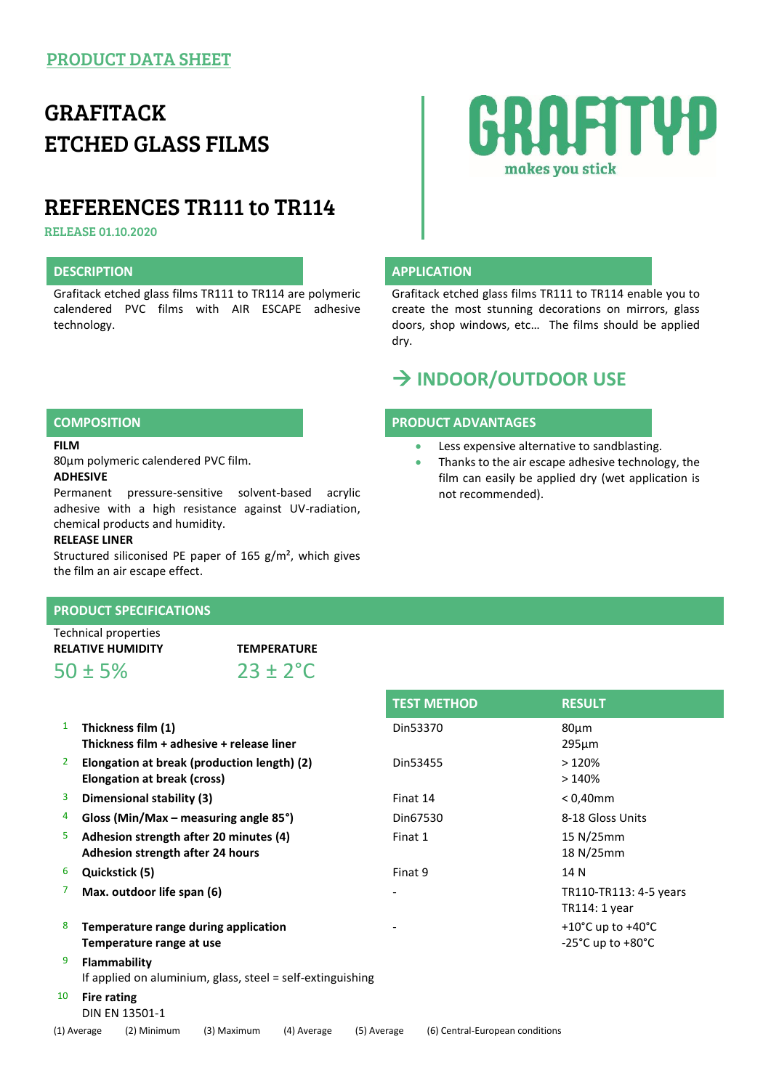# GRAFITACK ETCHED GLASS FILMS

# REFERENCES TR111 to TR114

RELEASE 01.10.2020

## **DESCRIPTION APPLICATION**

Grafitack etched glass films TR111 to TR114 are polymeric calendered PVC films with AIR ESCAPE adhesive technology.

# **RAFITYD** makes you stick

Grafitack etched glass films TR111 to TR114 enable you to create the most stunning decorations on mirrors, glass doors, shop windows, etc… The films should be applied dry.

## **INDOOR/OUTDOOR USE**

### **COMPOSITION PRODUCT ADVANTAGES**

- **Less expensive alternative to sandblasting.**
- Thanks to the air escape adhesive technology, the film can easily be applied dry (wet application is not recommended).

#### **FILM**

80µm polymeric calendered PVC film. **ADHESIVE**

Permanent pressure-sensitive solvent-based acrylic adhesive with a high resistance against UV-radiation, chemical products and humidity.

#### **RELEASE LINER**

Structured siliconised PE paper of 165 g/m², which gives the film an air escape effect.

### **PRODUCT SPECIFICATIONS**

| Technical properties     |                      |  |  |
|--------------------------|----------------------|--|--|
| <b>RELATIVE HUMIDITY</b> | <b>TEMPERATURE</b>   |  |  |
| $50 \pm 5\%$             | $23 \pm 2^{\circ}$ C |  |  |

|    |                                                                            |                            |          | <b>TEST METHOD</b>              | <b>RESULT</b>                                                                    |  |  |
|----|----------------------------------------------------------------------------|----------------------------|----------|---------------------------------|----------------------------------------------------------------------------------|--|--|
| 1  | Thickness film (1)<br>Thickness film + adhesive + release liner            |                            | Din53370 |                                 | $80 \mu m$<br>$295 \mu m$                                                        |  |  |
| 2  | Elongation at break (production length) (2)<br>Elongation at break (cross) |                            | Din53455 |                                 | >120%<br>>140%                                                                   |  |  |
| 3  | Dimensional stability (3)                                                  |                            | Finat 14 |                                 | $< 0,40$ mm                                                                      |  |  |
| 4  | Gloss (Min/Max – measuring angle $85^{\circ}$ )                            |                            | Din67530 |                                 | 8-18 Gloss Units                                                                 |  |  |
| 5. | Adhesion strength after 20 minutes (4)<br>Adhesion strength after 24 hours |                            | Finat 1  |                                 | 15 N/25mm<br>18 N/25mm                                                           |  |  |
| 6  | Quickstick (5)                                                             |                            | Finat 9  |                                 | 14 N                                                                             |  |  |
| 7  | Max. outdoor life span (6)                                                 |                            |          |                                 | TR110-TR113: 4-5 years<br>TR114: 1 year                                          |  |  |
| 8  | Temperature range during application<br>Temperature range at use           |                            |          |                                 | +10 $^{\circ}$ C up to +40 $^{\circ}$ C<br>$-25^{\circ}$ C up to $+80^{\circ}$ C |  |  |
| 9  | Flammability<br>If applied on aluminium, glass, steel = self-extinguishing |                            |          |                                 |                                                                                  |  |  |
| 10 | <b>Fire rating</b><br>DIN EN 13501-1                                       |                            |          |                                 |                                                                                  |  |  |
|    | (1) Average<br>(2) Minimum<br>(3) Maximum                                  | (4) Average<br>(5) Average |          | (6) Central-European conditions |                                                                                  |  |  |